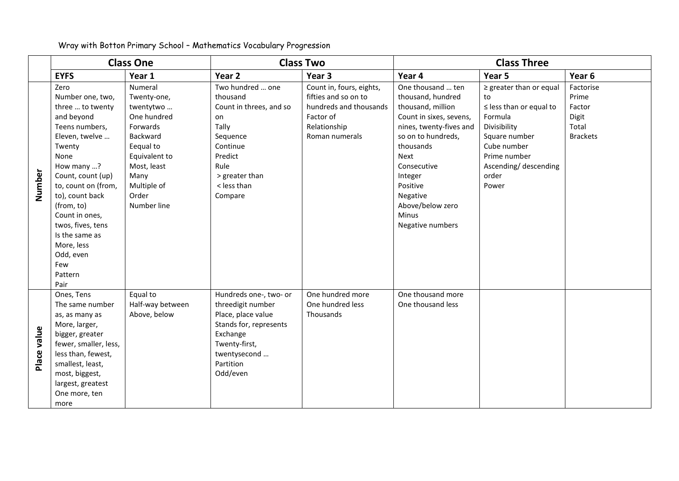|             |                                                                                                                                                                                                                                                                                                                           | <b>Class One</b>                                                                                                                                                       |                                                                                                                                                                   | <b>Class Two</b>                                                                                                          | <b>Class Three</b>                                                                                                                                                                                                                                              |                                                                                                                                                                                        |                                                                   |
|-------------|---------------------------------------------------------------------------------------------------------------------------------------------------------------------------------------------------------------------------------------------------------------------------------------------------------------------------|------------------------------------------------------------------------------------------------------------------------------------------------------------------------|-------------------------------------------------------------------------------------------------------------------------------------------------------------------|---------------------------------------------------------------------------------------------------------------------------|-----------------------------------------------------------------------------------------------------------------------------------------------------------------------------------------------------------------------------------------------------------------|----------------------------------------------------------------------------------------------------------------------------------------------------------------------------------------|-------------------------------------------------------------------|
|             | <b>EYFS</b>                                                                                                                                                                                                                                                                                                               | Year 1                                                                                                                                                                 | Year 2                                                                                                                                                            | Year 3                                                                                                                    | Year 4                                                                                                                                                                                                                                                          | Year 5                                                                                                                                                                                 | Year 6                                                            |
| Number      | Zero<br>Number one, two,<br>three  to twenty<br>and beyond<br>Teens numbers,<br>Eleven, twelve<br>Twenty<br>None<br>How many ?<br>Count, count (up)<br>to, count on (from,<br>to), count back<br>(from, to)<br>Count in ones,<br>twos, fives, tens<br>Is the same as<br>More, less<br>Odd, even<br>Few<br>Pattern<br>Pair | Numeral<br>Twenty-one,<br>twentytwo<br>One hundred<br>Forwards<br>Backward<br>Eequal to<br>Equivalent to<br>Most, least<br>Many<br>Multiple of<br>Order<br>Number line | Two hundred  one<br>thousand<br>Count in threes, and so<br>on<br>Tally<br>Sequence<br>Continue<br>Predict<br>Rule<br>> greater than<br>< less than<br>Compare     | Count in, fours, eights,<br>fifties and so on to<br>hundreds and thousands<br>Factor of<br>Relationship<br>Roman numerals | One thousand  ten<br>thousand, hundred<br>thousand, million<br>Count in sixes, sevens,<br>nines, twenty-fives and<br>so on to hundreds,<br>thousands<br>Next<br>Consecutive<br>Integer<br>Positive<br>Negative<br>Above/below zero<br>Minus<br>Negative numbers | $\ge$ greater than or equal<br>to<br>$\le$ less than or equal to<br>Formula<br>Divisibility<br>Square number<br>Cube number<br>Prime number<br>Ascending/ descending<br>order<br>Power | Factorise<br>Prime<br>Factor<br>Digit<br>Total<br><b>Brackets</b> |
| Place value | Ones, Tens<br>The same number<br>as, as many as<br>More, larger,<br>bigger, greater<br>fewer, smaller, less,<br>less than, fewest,<br>smallest, least,<br>most, biggest,<br>largest, greatest<br>One more, ten<br>more                                                                                                    | Equal to<br>Half-way between<br>Above, below                                                                                                                           | Hundreds one-, two- or<br>threedigit number<br>Place, place value<br>Stands for, represents<br>Exchange<br>Twenty-first,<br>twentysecond<br>Partition<br>Odd/even | One hundred more<br>One hundred less<br>Thousands                                                                         | One thousand more<br>One thousand less                                                                                                                                                                                                                          |                                                                                                                                                                                        |                                                                   |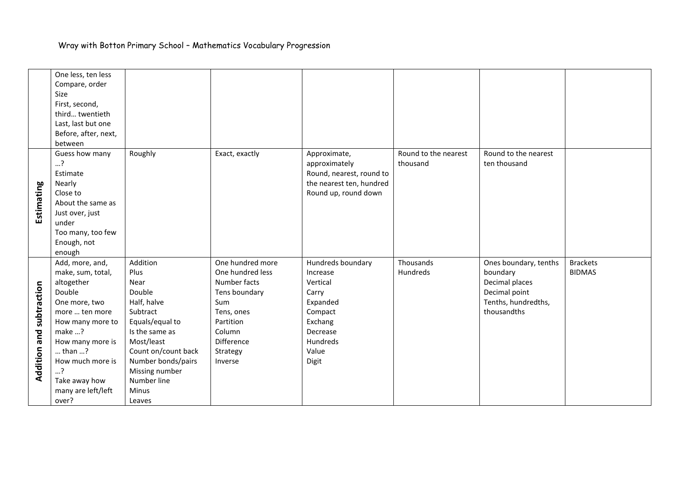|              | One less, ten less   |                     |                  |                          |                      |                       |                 |
|--------------|----------------------|---------------------|------------------|--------------------------|----------------------|-----------------------|-----------------|
|              | Compare, order       |                     |                  |                          |                      |                       |                 |
|              | Size                 |                     |                  |                          |                      |                       |                 |
|              | First, second,       |                     |                  |                          |                      |                       |                 |
|              | third twentieth      |                     |                  |                          |                      |                       |                 |
|              | Last, last but one   |                     |                  |                          |                      |                       |                 |
|              | Before, after, next, |                     |                  |                          |                      |                       |                 |
|              | between              |                     |                  |                          |                      |                       |                 |
|              | Guess how many       | Roughly             | Exact, exactly   | Approximate,             | Round to the nearest | Round to the nearest  |                 |
|              | ?                    |                     |                  | approximately            | thousand             | ten thousand          |                 |
|              | Estimate             |                     |                  | Round, nearest, round to |                      |                       |                 |
|              | Nearly               |                     |                  | the nearest ten, hundred |                      |                       |                 |
|              | Close to             |                     |                  | Round up, round down     |                      |                       |                 |
| Estimating   | About the same as    |                     |                  |                          |                      |                       |                 |
|              | Just over, just      |                     |                  |                          |                      |                       |                 |
|              | under                |                     |                  |                          |                      |                       |                 |
|              | Too many, too few    |                     |                  |                          |                      |                       |                 |
|              | Enough, not          |                     |                  |                          |                      |                       |                 |
|              | enough               |                     |                  |                          |                      |                       |                 |
|              | Add, more, and,      | Addition            | One hundred more | Hundreds boundary        | Thousands            | Ones boundary, tenths | <b>Brackets</b> |
|              | make, sum, total,    | Plus                | One hundred less | Increase                 | Hundreds             | boundary              | <b>BIDMAS</b>   |
|              | altogether           | Near                | Number facts     | Vertical                 |                      | Decimal places        |                 |
|              | Double               | Double              | Tens boundary    | Carry                    |                      | Decimal point         |                 |
|              | One more, two        | Half, halve         | Sum              | Expanded                 |                      | Tenths, hundredths,   |                 |
|              | more  ten more       | Subtract            | Tens, ones       | Compact                  |                      | thousandths           |                 |
| subtraction  | How many more to     | Equals/equal to     | Partition        | Exchang                  |                      |                       |                 |
|              | make ?               | Is the same as      | Column           | Decrease                 |                      |                       |                 |
|              | How many more is     | Most/least          | Difference       | Hundreds                 |                      |                       |                 |
|              | than ?               | Count on/count back | Strategy         | Value                    |                      |                       |                 |
|              | How much more is     | Number bonds/pairs  | Inverse          | Digit                    |                      |                       |                 |
| Addition and | ?                    | Missing number      |                  |                          |                      |                       |                 |
|              | Take away how        | Number line         |                  |                          |                      |                       |                 |
|              | many are left/left   | Minus               |                  |                          |                      |                       |                 |
|              | over?                | Leaves              |                  |                          |                      |                       |                 |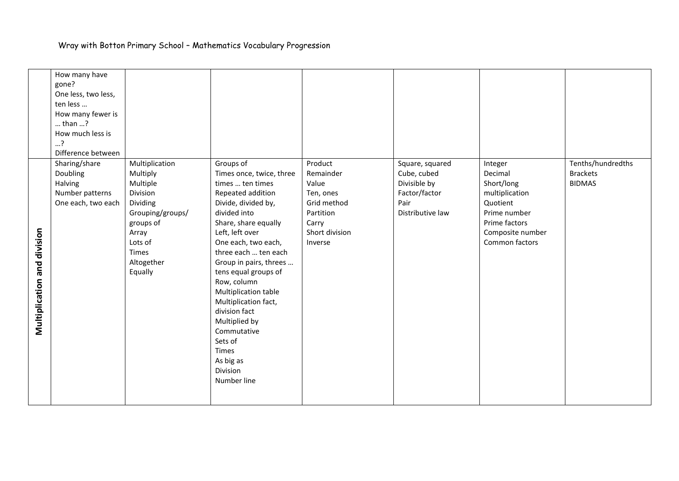|                             | How many have       |                  |                                     |                |                  |                  |                   |
|-----------------------------|---------------------|------------------|-------------------------------------|----------------|------------------|------------------|-------------------|
|                             | gone?               |                  |                                     |                |                  |                  |                   |
|                             | One less, two less, |                  |                                     |                |                  |                  |                   |
|                             | ten less            |                  |                                     |                |                  |                  |                   |
|                             | How many fewer is   |                  |                                     |                |                  |                  |                   |
|                             | $$ than $$ ?        |                  |                                     |                |                  |                  |                   |
|                             | How much less is    |                  |                                     |                |                  |                  |                   |
|                             | ?                   |                  |                                     |                |                  |                  |                   |
|                             | Difference between  |                  |                                     |                |                  |                  |                   |
|                             | Sharing/share       | Multiplication   | Groups of                           | Product        | Square, squared  | Integer          | Tenths/hundredths |
|                             | Doubling            | Multiply         | Times once, twice, three            | Remainder      | Cube, cubed      | Decimal          | <b>Brackets</b>   |
|                             | Halving             | Multiple         | times  ten times                    | Value          | Divisible by     | Short/long       | <b>BIDMAS</b>     |
|                             | Number patterns     | Division         | Repeated addition                   | Ten, ones      | Factor/factor    | multiplication   |                   |
|                             | One each, two each  | Dividing         | Divide, divided by,                 | Grid method    | Pair             | Quotient         |                   |
|                             |                     | Grouping/groups/ | divided into                        | Partition      | Distributive law | Prime number     |                   |
|                             |                     | groups of        | Share, share equally                | Carry          |                  | Prime factors    |                   |
|                             |                     | Array            | Left, left over                     | Short division |                  | Composite number |                   |
|                             |                     | Lots of          | One each, two each,                 | Inverse        |                  | Common factors   |                   |
|                             |                     | Times            | three each  ten each                |                |                  |                  |                   |
|                             |                     | Altogether       | Group in pairs, threes              |                |                  |                  |                   |
|                             |                     | Equally          | tens equal groups of<br>Row, column |                |                  |                  |                   |
|                             |                     |                  | Multiplication table                |                |                  |                  |                   |
|                             |                     |                  | Multiplication fact,                |                |                  |                  |                   |
|                             |                     |                  | division fact                       |                |                  |                  |                   |
| Multiplication and division |                     |                  | Multiplied by                       |                |                  |                  |                   |
|                             |                     |                  | Commutative                         |                |                  |                  |                   |
|                             |                     |                  | Sets of                             |                |                  |                  |                   |
|                             |                     |                  | <b>Times</b>                        |                |                  |                  |                   |
|                             |                     |                  | As big as                           |                |                  |                  |                   |
|                             |                     |                  | Division                            |                |                  |                  |                   |
|                             |                     |                  | Number line                         |                |                  |                  |                   |
|                             |                     |                  |                                     |                |                  |                  |                   |
|                             |                     |                  |                                     |                |                  |                  |                   |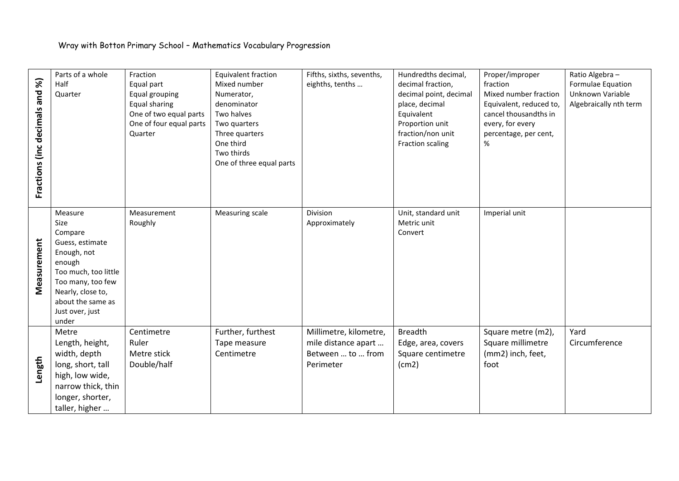| Fractions (inc decimals and %) | Parts of a whole<br>Half<br>Quarter                                                                                                                                                       | Fraction<br>Equal part<br>Equal grouping<br>Equal sharing<br>One of two equal parts<br>One of four equal parts<br>Quarter | <b>Equivalent fraction</b><br>Mixed number<br>Numerator,<br>denominator<br>Two halves<br>Two quarters<br>Three quarters<br>One third<br>Two thirds<br>One of three equal parts | Fifths, sixths, sevenths,<br>eighths, tenths                                    | Hundredths decimal,<br>decimal fraction,<br>decimal point, decimal<br>place, decimal<br>Equivalent<br>Proportion unit<br>fraction/non unit<br>Fraction scaling | Proper/improper<br>fraction<br>Mixed number fraction<br>Equivalent, reduced to,<br>cancel thousand ths in<br>every, for every<br>percentage, per cent,<br>% | Ratio Algebra -<br>Formulae Equation<br>Unknown Variable<br>Algebraically nth term |
|--------------------------------|-------------------------------------------------------------------------------------------------------------------------------------------------------------------------------------------|---------------------------------------------------------------------------------------------------------------------------|--------------------------------------------------------------------------------------------------------------------------------------------------------------------------------|---------------------------------------------------------------------------------|----------------------------------------------------------------------------------------------------------------------------------------------------------------|-------------------------------------------------------------------------------------------------------------------------------------------------------------|------------------------------------------------------------------------------------|
| Measurement                    | Measure<br>Size<br>Compare<br>Guess, estimate<br>Enough, not<br>enough<br>Too much, too little<br>Too many, too few<br>Nearly, close to,<br>about the same as<br>Just over, just<br>under | Measurement<br>Roughly                                                                                                    | Measuring scale                                                                                                                                                                | Division<br>Approximately                                                       | Unit, standard unit<br>Metric unit<br>Convert                                                                                                                  | Imperial unit                                                                                                                                               |                                                                                    |
| Length                         | Metre<br>Length, height,<br>width, depth<br>long, short, tall<br>high, low wide,<br>narrow thick, thin<br>longer, shorter,<br>taller, higher                                              | Centimetre<br>Ruler<br>Metre stick<br>Double/half                                                                         | Further, furthest<br>Tape measure<br>Centimetre                                                                                                                                | Millimetre, kilometre,<br>mile distance apart<br>Between  to  from<br>Perimeter | <b>Breadth</b><br>Edge, area, covers<br>Square centimetre<br>(cm2)                                                                                             | Square metre (m2),<br>Square millimetre<br>(mm2) inch, feet,<br>foot                                                                                        | Yard<br>Circumference                                                              |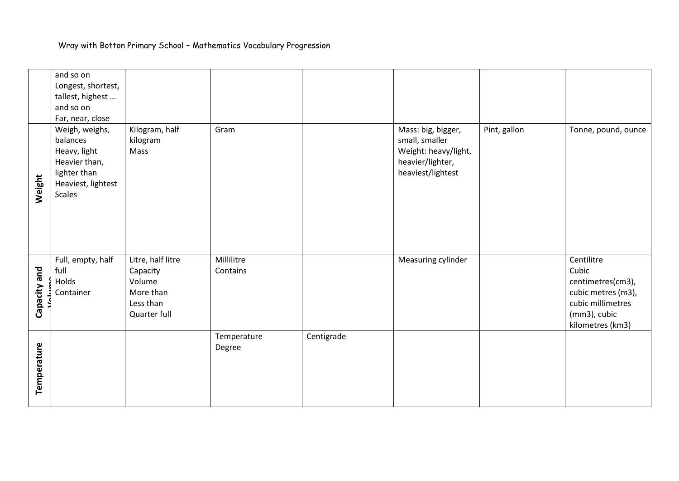|              | and so on                    |                   |             |            |                                       |              |                     |
|--------------|------------------------------|-------------------|-------------|------------|---------------------------------------|--------------|---------------------|
|              | Longest, shortest,           |                   |             |            |                                       |              |                     |
|              | tallest, highest             |                   |             |            |                                       |              |                     |
|              | and so on                    |                   |             |            |                                       |              |                     |
|              | Far, near, close             |                   |             |            |                                       |              |                     |
|              | Weigh, weighs,               | Kilogram, half    | Gram        |            | Mass: big, bigger,                    | Pint, gallon | Tonne, pound, ounce |
|              | balances                     | kilogram          |             |            | small, smaller                        |              |                     |
|              | Heavy, light                 | Mass              |             |            | Weight: heavy/light,                  |              |                     |
|              | Heavier than,                |                   |             |            | heavier/lighter,<br>heaviest/lightest |              |                     |
|              | lighter than                 |                   |             |            |                                       |              |                     |
| Weight       | Heaviest, lightest<br>Scales |                   |             |            |                                       |              |                     |
|              |                              |                   |             |            |                                       |              |                     |
|              |                              |                   |             |            |                                       |              |                     |
|              |                              |                   |             |            |                                       |              |                     |
|              |                              |                   |             |            |                                       |              |                     |
|              |                              |                   |             |            |                                       |              |                     |
|              | Full, empty, half            | Litre, half litre | Millilitre  |            | Measuring cylinder                    |              | Centilitre          |
|              | full                         | Capacity          | Contains    |            |                                       |              | Cubic               |
| Capacity and | Holds                        | Volume            |             |            |                                       |              | centimetres(cm3),   |
|              | Container                    | More than         |             |            |                                       |              | cubic metres (m3),  |
|              |                              | Less than         |             |            |                                       |              | cubic millimetres   |
|              |                              | Quarter full      |             |            |                                       |              | (mm3), cubic        |
|              |                              |                   |             |            |                                       |              | kilometres (km3)    |
|              |                              |                   | Temperature | Centigrade |                                       |              |                     |
|              |                              |                   | Degree      |            |                                       |              |                     |
|              |                              |                   |             |            |                                       |              |                     |
|              |                              |                   |             |            |                                       |              |                     |
| Temperature  |                              |                   |             |            |                                       |              |                     |
|              |                              |                   |             |            |                                       |              |                     |
|              |                              |                   |             |            |                                       |              |                     |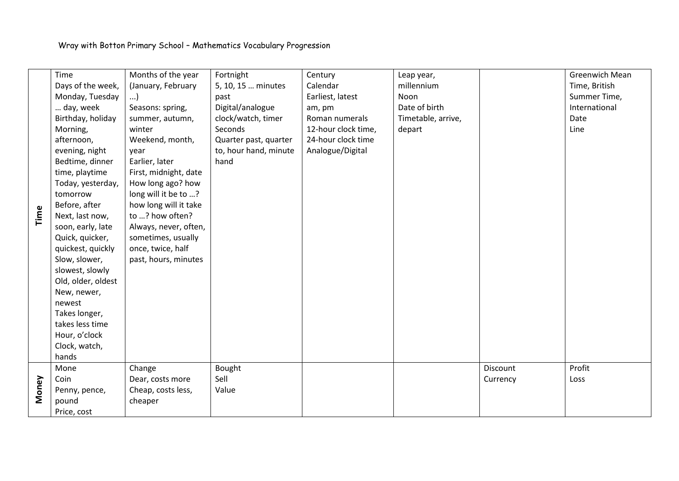|       | Time               | Months of the year    | Fortnight             | Century             | Leap year,         |          | <b>Greenwich Mean</b> |
|-------|--------------------|-----------------------|-----------------------|---------------------|--------------------|----------|-----------------------|
|       | Days of the week,  | (January, February    | 5, 10, 15  minutes    | Calendar            | millennium         |          | Time, British         |
|       | Monday, Tuesday    | )                     | past                  | Earliest, latest    | Noon               |          | Summer Time,          |
|       | day, week          | Seasons: spring,      | Digital/analogue      | am, pm              | Date of birth      |          | International         |
|       | Birthday, holiday  | summer, autumn,       | clock/watch, timer    | Roman numerals      | Timetable, arrive, |          | Date                  |
|       | Morning,           | winter                | Seconds               | 12-hour clock time, | depart             |          | Line                  |
|       | afternoon,         | Weekend, month,       | Quarter past, quarter | 24-hour clock time  |                    |          |                       |
|       | evening, night     | year                  | to, hour hand, minute | Analogue/Digital    |                    |          |                       |
|       | Bedtime, dinner    | Earlier, later        | hand                  |                     |                    |          |                       |
|       | time, playtime     | First, midnight, date |                       |                     |                    |          |                       |
|       | Today, yesterday,  | How long ago? how     |                       |                     |                    |          |                       |
|       | tomorrow           | long will it be to ?  |                       |                     |                    |          |                       |
|       | Before, after      | how long will it take |                       |                     |                    |          |                       |
| Time  | Next, last now,    | to ? how often?       |                       |                     |                    |          |                       |
|       | soon, early, late  | Always, never, often, |                       |                     |                    |          |                       |
|       | Quick, quicker,    | sometimes, usually    |                       |                     |                    |          |                       |
|       | quickest, quickly  | once, twice, half     |                       |                     |                    |          |                       |
|       | Slow, slower,      | past, hours, minutes  |                       |                     |                    |          |                       |
|       | slowest, slowly    |                       |                       |                     |                    |          |                       |
|       | Old, older, oldest |                       |                       |                     |                    |          |                       |
|       | New, newer,        |                       |                       |                     |                    |          |                       |
|       | newest             |                       |                       |                     |                    |          |                       |
|       | Takes longer,      |                       |                       |                     |                    |          |                       |
|       | takes less time    |                       |                       |                     |                    |          |                       |
|       | Hour, o'clock      |                       |                       |                     |                    |          |                       |
|       | Clock, watch,      |                       |                       |                     |                    |          |                       |
|       | hands              |                       |                       |                     |                    |          |                       |
|       | Mone               | Change                | Bought                |                     |                    | Discount | Profit                |
|       | Coin               | Dear, costs more      | Sell                  |                     |                    | Currency | Loss                  |
| Money | Penny, pence,      | Cheap, costs less,    | Value                 |                     |                    |          |                       |
|       | pound              | cheaper               |                       |                     |                    |          |                       |
|       | Price, cost        |                       |                       |                     |                    |          |                       |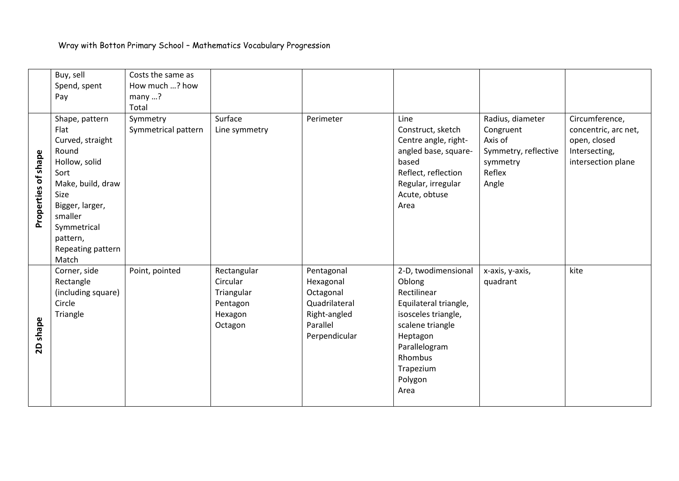|                     | Buy, sell          | Costs the same as   |               |               |                       |                      |                      |
|---------------------|--------------------|---------------------|---------------|---------------|-----------------------|----------------------|----------------------|
|                     | Spend, spent       | How much ? how      |               |               |                       |                      |                      |
|                     | Pay                | many?               |               |               |                       |                      |                      |
|                     |                    | Total               |               |               |                       |                      |                      |
|                     | Shape, pattern     | Symmetry            | Surface       | Perimeter     | Line                  | Radius, diameter     | Circumference,       |
|                     | Flat               | Symmetrical pattern | Line symmetry |               | Construct, sketch     | Congruent            | concentric, arc net, |
|                     | Curved, straight   |                     |               |               | Centre angle, right-  | Axis of              | open, closed         |
|                     | Round              |                     |               |               | angled base, square-  | Symmetry, reflective | Intersecting,        |
|                     | Hollow, solid      |                     |               |               | based                 | symmetry             | intersection plane   |
|                     | Sort               |                     |               |               | Reflect, reflection   | Reflex               |                      |
|                     | Make, build, draw  |                     |               |               | Regular, irregular    | Angle                |                      |
|                     | Size               |                     |               |               | Acute, obtuse         |                      |                      |
| Properties of shape | Bigger, larger,    |                     |               |               | Area                  |                      |                      |
|                     | smaller            |                     |               |               |                       |                      |                      |
|                     | Symmetrical        |                     |               |               |                       |                      |                      |
|                     | pattern,           |                     |               |               |                       |                      |                      |
|                     | Repeating pattern  |                     |               |               |                       |                      |                      |
|                     | Match              |                     |               |               |                       |                      |                      |
|                     | Corner, side       | Point, pointed      | Rectangular   | Pentagonal    | 2-D, twodimensional   | x-axis, y-axis,      | kite                 |
|                     | Rectangle          |                     | Circular      | Hexagonal     | Oblong                | quadrant             |                      |
|                     | (including square) |                     | Triangular    | Octagonal     | Rectilinear           |                      |                      |
|                     | Circle             |                     | Pentagon      | Quadrilateral | Equilateral triangle, |                      |                      |
|                     | Triangle           |                     | Hexagon       | Right-angled  | isosceles triangle,   |                      |                      |
| shape               |                    |                     | Octagon       | Parallel      | scalene triangle      |                      |                      |
|                     |                    |                     |               | Perpendicular | Heptagon              |                      |                      |
| 20                  |                    |                     |               |               | Parallelogram         |                      |                      |
|                     |                    |                     |               |               | Rhombus               |                      |                      |
|                     |                    |                     |               |               | Trapezium             |                      |                      |
|                     |                    |                     |               |               | Polygon               |                      |                      |
|                     |                    |                     |               |               | Area                  |                      |                      |
|                     |                    |                     |               |               |                       |                      |                      |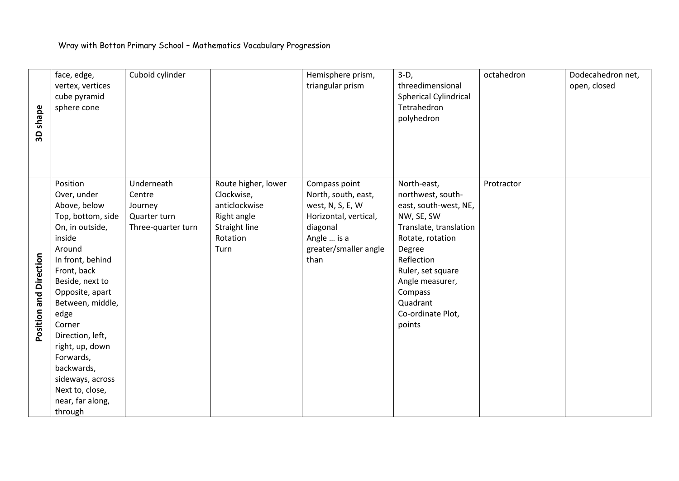| shape<br>3 <sup>o</sup> | face, edge,<br>vertex, vertices<br>cube pyramid<br>sphere cone                                                                                                                                                                                                                                                                                             | Cuboid cylinder                                                       |                                                                                                        | Hemisphere prism,<br>triangular prism                                                                                                         | $3-D,$<br>threedimensional<br><b>Spherical Cylindrical</b><br>Tetrahedron<br>polyhedron                                                                                                                                                     | octahedron | Dodecahedron net,<br>open, closed |
|-------------------------|------------------------------------------------------------------------------------------------------------------------------------------------------------------------------------------------------------------------------------------------------------------------------------------------------------------------------------------------------------|-----------------------------------------------------------------------|--------------------------------------------------------------------------------------------------------|-----------------------------------------------------------------------------------------------------------------------------------------------|---------------------------------------------------------------------------------------------------------------------------------------------------------------------------------------------------------------------------------------------|------------|-----------------------------------|
| Position and Direction  | Position<br>Over, under<br>Above, below<br>Top, bottom, side<br>On, in outside,<br>inside<br>Around<br>In front, behind<br>Front, back<br>Beside, next to<br>Opposite, apart<br>Between, middle,<br>edge<br>Corner<br>Direction, left,<br>right, up, down<br>Forwards,<br>backwards,<br>sideways, across<br>Next to, close,<br>near, far along,<br>through | Underneath<br>Centre<br>Journey<br>Quarter turn<br>Three-quarter turn | Route higher, lower<br>Clockwise,<br>anticlockwise<br>Right angle<br>Straight line<br>Rotation<br>Turn | Compass point<br>North, south, east,<br>west, N, S, E, W<br>Horizontal, vertical,<br>diagonal<br>Angle  is a<br>greater/smaller angle<br>than | North-east,<br>northwest, south-<br>east, south-west, NE,<br>NW, SE, SW<br>Translate, translation<br>Rotate, rotation<br>Degree<br>Reflection<br>Ruler, set square<br>Angle measurer,<br>Compass<br>Quadrant<br>Co-ordinate Plot,<br>points | Protractor |                                   |